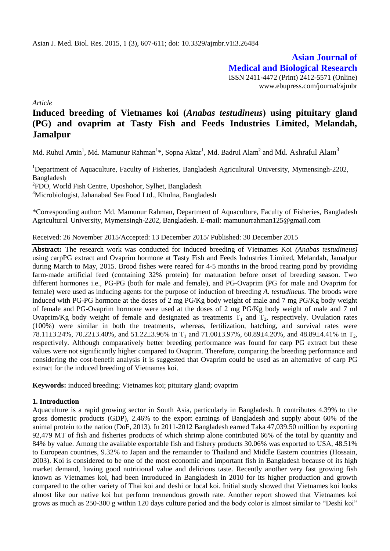**Asian Journal of Medical and Biological Research** ISSN 2411-4472 (Print) 2412-5571 (Online) www.ebupress.com/journal/ajmbr

*Article*

# **Induced breeding of Vietnames koi (***Anabas testudineus***) using pituitary gland (PG) and ovaprim at Tasty Fish and Feeds Industries Limited, Melandah, Jamalpur**

Md. Ruhul Amin<sup>1</sup>, Md. Mamunur Rahman<sup>1</sup>\*, Sopna Aktar<sup>1</sup>, Md. Badrul Alam<sup>2</sup> and Md. Ashraful Alam<sup>3</sup>

<sup>1</sup>Department of Aquaculture, Faculty of Fisheries, Bangladesh Agricultural University, Mymensingh-2202, Bangladesh

<sup>2</sup>FDO, World Fish Centre, Uposhohor, Sylhet, Bangladesh

<sup>3</sup>Microbiologist, Jahanabad Sea Food Ltd., Khulna, Bangladesh

\*Corresponding author: Md. Mamunur Rahman, Department of Aquaculture, Faculty of Fisheries, Bangladesh Agricultural University, Mymensingh-2202, Bangladesh. E-mail: [mamunurrahman125@gmail.com](mailto:mamunurrahman125@gmail.com)

Received: 26 November 2015/Accepted: 13 December 2015/ Published: 30 December 2015

**Abstract:** The research work was conducted for induced breeding of Vietnames Koi *(Anabas testudineus)*  using carpPG extract and Ovaprim hormone at Tasty Fish and Feeds Industries Limited, Melandah, Jamalpur during March to May, 2015. Brood fishes were reared for 4-5 months in the brood rearing pond by providing farm-made artificial feed (containing 32% protein) for maturation before onset of breeding season. Two different hormones i.e., PG-PG (both for male and female), and PG-Ovaprim (PG for male and Ovaprim for female) were used as inducing agents for the purpose of induction of breeding *A. testudineus*. The broods were induced with PG-PG hormone at the doses of 2 mg PG/Kg body weight of male and 7 mg PG/Kg body weight of female and PG-Ovaprim hormone were used at the doses of 2 mg PG/Kg body weight of male and 7 ml Ovaprim/Kg body weight of female and designated as treatments  $T_1$  and  $T_2$ , respectively. Ovulation rates (100%) were similar in both the treatments, whereas, fertilization, hatching, and survival rates were 78.11 $\pm$ 3.24%, 70.22 $\pm$ 3.40%, and 51.22 $\pm$ 3.96% in T<sub>1</sub> and 71.00 $\pm$ 3.97%, 60.89 $\pm$ 4.20%, and 48.89 $\pm$ 4.41% in T<sub>2</sub>, respectively. Although comparatively better breeding performance was found for carp PG extract but these values were not significantly higher compared to Ovaprim. Therefore, comparing the breeding performance and considering the cost-benefit analysis it is suggested that Ovaprim could be used as an alternative of carp PG extract for the induced breeding of Vietnames koi.

**Keywords:** induced breeding; Vietnames koi; pituitary gland; ovaprim

# **1. Introduction**

Aquaculture is a rapid growing sector in South Asia, particularly in Bangladesh. It contributes 4.39% to the gross domestic products (GDP), 2.46% to the export earnings of Bangladesh and supply about 60% of the animal protein to the nation (DoF, 2013). In 2011-2012 Bangladesh earned Taka 47,039.50 million by exporting 92,479 MT of fish and fisheries products of which shrimp alone contributed 66% of the total by quantity and 84% by value. Among the available exportable fish and fishery products 30.06% was exported to USA, 48.51% to European countries, 9.32% to Japan and the remainder to Thailand and Middle Eastern countries (Hossain, 2003). Koi is considered to be one of the most economic and important fish in Bangladesh because of its high market demand, having good nutritional value and delicious taste. Recently another very fast growing fish known as Vietnames koi, had been introduced in Bangladesh in 2010 for its higher production and growth compared to the other variety of Thai koi and deshi or local koi. Initial study showed that Vietnames koi looks almost like our native koi but perform tremendous growth rate. Another report showed that Vietnames koi grows as much as 250-300 g within 120 days culture period and the body color is almost similar to "Deshi koi"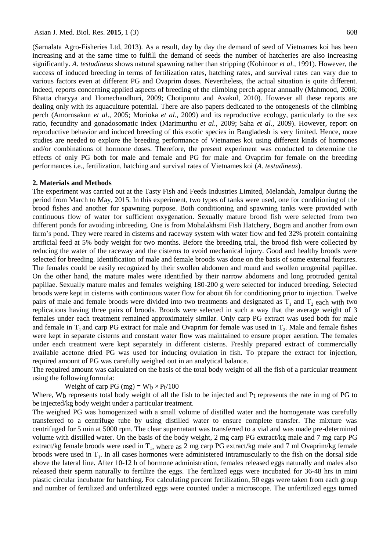(Sarnalata Agro-Fisheries Ltd, 2013). As a result, day by day the demand of seed of Vietnames koi has been increasing and at the same time to fulfill the demand of seeds the number of hatcheries are also increasing significantly. *A. testudineus* shows natural spawning rather than stripping (Kohinoor *et al.,* 1991). However, the success of induced breeding in terms of fertilization rates, hatching rates, and survival rates can vary due to various factors even at different PG and Ovaprim doses. Nevertheless, the actual situation is quite different. Indeed, reports concerning applied aspects of breeding of the climbing perch appear annually (Mahmood, 2006; Bhatta charyya and Homechaudhuri, 2009; Chotipuntu and Avakul, 2010). However all these reports are dealing only with its aquaculture potential. There are also papers dedicated to the ontogenesis of the climbing perch (Amornsakun *et al*., 2005; Morioka *et al*., 2009) and its reproductive ecology, particularly to the sex ratio, fecundity and gonadosomatic index (Marimurthu *et al*., 2009; Saha *et al*., 2009). However, report on reproductive behavior and induced breeding of this exotic species in Bangladesh is very limited. Hence, more studies are needed to explore the breeding performance of Vietnames koi using different kinds of hormones and/or combinations of hormone doses. Therefore, the present experiment was conducted to determine the effects of only PG both for male and female and PG for male and Ovaprim for female on the breeding performances i.e., fertilization, hatching and survival rates of Vietnames koi (*A. testudineus*).

### **2. Materials and Methods**

The experiment was carried out at the Tasty Fish and Feeds Industries Limited, Melandah, Jamalpur during the period from March to May, 2015. In this experiment, two types of tanks were used, one for conditioning of the brood fishes and another for spawning purpose. Both conditioning and spawning tanks were provided with continuous flow of water for sufficient oxygenation. Sexually mature brood fish were selected from two different ponds for avoiding inbreeding. One is from Mohalakhsmi Fish Hatchery, Bogra and another from own farm"s pond. They were reared in cisterns and raceway system with water flow and fed 32% protein containing artificial feed at 5% body weight for two months. Before the breeding trial, the brood fish were collected by reducing the water of the raceway and the cisterns to avoid mechanical injury. Good and healthy broods were selected for breeding. Identification of male and female broods was done on the basis of some external features. The females could be easily recognized by their swollen abdomen and round and swollen urogenital papillae. On the other hand, the mature males were identified by their narrow abdomens and long protruded genital papillae. Sexually mature males and females weighing 180-200 g were selected for induced breeding. Selected broods were kept in cisterns with continuous water flow for about 6h for conditioning prior to injection. Twelve pairs of male and female broods were divided into two treatments and designated as  $T_1$  and  $T_2$  each with two replications having three pairs of broods. Broods were selected in such a way that the average weight of 3 females under each treatment remained approximately similar. Only carp PG extract was used both for male and female in  $T_1$  and carp PG extract for male and Ovaprim for female was used in  $T_2$ . Male and female fishes were kept in separate cisterns and constant water flow was maintained to ensure proper aeration. The females under each treatment were kept separately in different cisterns. Freshly prepared extract of commercially available acetone dried PG was used for inducing ovulation in fish. To prepare the extract for injection, required amount of PG was carefully weighed out in an analytical balance.

The required amount was calculated on the basis of the total body weight of all the fish of a particular treatment using the followingformula:

Weight of carp PG (mg) =  $Wb \times Pt/100$ 

Where, W<sub>b</sub> represents total body weight of all the fish to be injected and P<sub>t</sub> represents the rate in mg of PG to be injected/kg body weight under a particular treatment.

The weighed PG was homogenized with a small volume of distilled water and the homogenate was carefully transferred to a centrifuge tube by using distilled water to ensure complete transfer. The mixture was centrifuged for 5 min at 5000 rpm. The clear supernatant was transferred to a vial and was made pre-determined volume with distilled water. On the basis of the body weight, 2 mg carp PG extract/kg male and 7 mg carp PG extract/kg female broods were used in  $T_1$ , where as 2 mg carp PG extract/kg male and 7 ml Ovaprim/kg female broods were used in  $T_1$ . In all cases hormones were administered intramuscularly to the fish on the dorsal side above the lateral line. After 10-12 h of hormone administration, females released eggs naturally and males also released their sperm naturally to fertilize the eggs. The fertilized eggs were incubated for 36-48 hrs in mini plastic circular incubator for hatching. For calculating percent fertilization, 50 eggs were taken from each group and number of fertilized and unfertilized eggs were counted under a microscope. The unfertilized eggs turned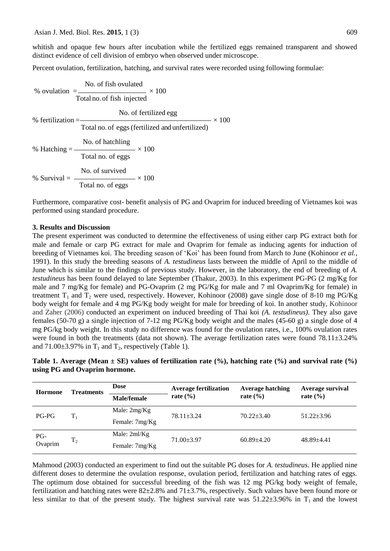whitish and opaque few hours after incubation while the fertilized eggs remained transparent and showed distinct evidence of cell division of embryo when observed under microscope.

Percent ovulation, fertilization, hatching, and survival rates were recorded using following formulae:

% ovulation = 
$$
\frac{\text{No. of fish ovulated}}{\text{Total no. of fish injected}} \times 100
$$
\n% fertilization = 
$$
\frac{\text{No. of fertilized egg}}{\text{Total no. of eggs (fertilized and unfertilized)}} \times 100
$$
\n% Hatching = 
$$
\frac{\text{No. of hatching}}{\text{Total no. of eggs}} \times 100
$$
\n% Survival = 
$$
\frac{\text{No. of survived}}{\text{Total no. of eggs}} \times 100
$$

Furthermore, comparative cost- benefit analysis of PG and Ovaprim for induced breeding of Vietnames koi was performed using standard procedure.

## **3. Results and Dis**c**ussion**

The present experiment was conducted to determine the effectiveness of using either carp PG extract both for male and female or carp PG extract for male and Ovaprim for female as inducing agents for induction of breeding of Vietnames koi. The breeding season of "Koi" has been found from March to June (Kohinoor *et al.,* 1991). In this study the breeding seasons of *A. testudineus* lasts between the middle of April to the middle of June which is similar to the findings of previous study. However, in the laboratory, the end of breeding of *A. testudineus* has been found delayed to late September (Thakur, 2003). In this experiment PG-PG (2 mg/Kg for male and 7 mg/Kg for female) and PG-Ovaprim (2 mg PG/Kg for male and 7 ml Ovaprim/Kg for female) in treatment  $T_1$  and  $T_2$  were used, respectively. However, Kohinoor (2008) gave single dose of 8-10 mg PG/Kg body weight for female and 4 mg PG/Kg body weight for male for breeding of koi. In another study, Kohinoor and Zaher (2006) conducted an experiment on induced breeding of Thai koi *(A. testudineus)*. They also gave females (50-70 g) a single injection of 7-12 mg PG/Kg body weight and the males (45-60 g) a single dose of 4 mg PG/kg body weight. In this study no difference was found for the ovulation rates, i.e., 100% ovulation rates were found in both the treatments (data not shown). The average fertilization rates were found 78.11±3.24% and  $71.00\pm3.97\%$  in T<sub>1</sub> and T<sub>2</sub>, respectively (Table 1).

**Table 1. Average (Mean ± SE) values of fertilization rate (%), hatching rate (%) and survival rate (%) using PG and Ovaprim hormone.**

| <b>Hormone</b> | <b>Treatments</b> | Dose           | <b>Average fertilization</b><br>rate $(\% )$ | <b>Average hatching</b><br>rate $(\% )$ | Average survival<br>rate $(\% )$ |
|----------------|-------------------|----------------|----------------------------------------------|-----------------------------------------|----------------------------------|
|                |                   | Male/female    |                                              |                                         |                                  |
| $PG-PG$        | $T_{1}$           | Male: $2mg/Kg$ | $78.11 \pm 3.24$                             | $70.22 + 3.40$                          | $51.22 \pm 3.96$                 |
|                |                   | Female: 7mg/Kg |                                              |                                         |                                  |
| PG-<br>Ovaprim | T <sub>2</sub>    | Male: $2ml/Kg$ | $71.00 \pm 3.97$                             | $60.89 + 4.20$                          | $48.89 + 4.41$                   |
|                |                   | Female: 7mg/Kg |                                              |                                         |                                  |

Mahmood (2003) conducted an experiment to find out the suitable PG doses for *A. testudineus*. He applied nine different doses to determine the ovulation response, ovulation period, fertilization and hatching rates of eggs. The optimum dose obtained for successful breeding of the fish was 12 mg PG/kg body weight of female, fertilization and hatching rates were 82±2.8% and 71±3.7%, respectively. Such values have been found more or less similar to that of the present study. The highest survival rate was  $51.22\pm3.96\%$  in T<sub>1</sub> and the lowest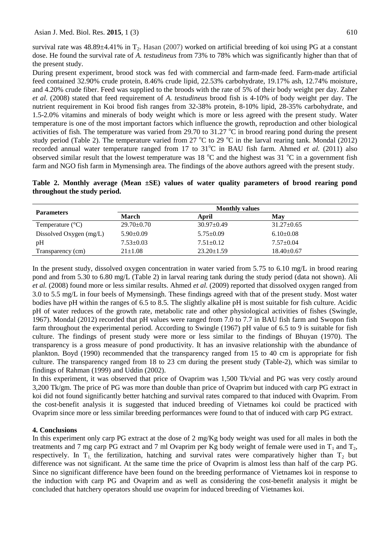survival rate was  $48.89\pm4.41\%$  in T<sub>2</sub>. Hasan (2007) worked on artificial breeding of koi using PG at a constant dose. He found the survival rate of *A. testudineus* from 73% to 78% which was significantly higher than that of the present study.

During present experiment, brood stock was fed with commercial and farm-made feed. Farm-made artificial feed contained 32.90% crude protein, 8.46% crude lipid, 22.53% carbohydrate, 19.17% ash, 12.74% moisture, and 4.20% crude fiber. Feed was supplied to the broods with the rate of 5% of their body weight per day. Zaher *et al.* (2008) stated that feed requirement of *A. testudineus* brood fish is 4-10% of body weight per day. The nutrient requirement in Koi brood fish ranges from 32-38% protein, 8-10% lipid, 28-35% carbohydrate, and 1.5-2.0% vitamins and minerals of body weight which is more or less agreed with the present study. Water temperature is one of the most important factors which influence the growth, reproduction and other biological activities of fish. The temperature was varied from 29.70 to 31.27  $^{\circ}$ C in brood rearing pond during the present study period (Table 2). The temperature varied from 27  $\rm{^{\circ}C}$  to 29  $\rm{^{\circ}C}$  in the larval rearing tank. Mondal (2012) recorded annual water temperature ranged from 17 to 31<sup>o</sup>C in BAU fish farm. Ahmed *et al.* (2011) also observed similar result that the lowest temperature was 18  $^{\circ}$ C and the highest was 31  $^{\circ}$ C in a government fish farm and NGO fish farm in Mymensingh area. The findings of the above authors agreed with the present study.

**Table 2. Monthly average (Mean ±SE) values of water quality parameters of brood rearing pond throughout the study period.**

|                           | <b>Monthly values</b> |                  |                  |  |
|---------------------------|-----------------------|------------------|------------------|--|
| <b>Parameters</b>         | March                 | April            | May              |  |
| Temperature $(^{\circ}C)$ | $29.70 \pm 0.70$      | $30.97 \pm 0.49$ | $31.27 \pm 0.65$ |  |
| Dissolved Oxygen $(mg/L)$ | $5.90 \pm 0.09$       | $5.75 \pm 0.09$  | $6.10\pm0.08$    |  |
| pH                        | $7.53 \pm 0.03$       | $7.51 \pm 0.12$  | $7.57 \pm 0.04$  |  |
| Transparency (cm)         | $21 \pm 1.08$         | $23.20 \pm 1.59$ | $18.40\pm0.67$   |  |

In the present study, dissolved oxygen concentration in water varied from 5.75 to 6.10 mg/L in brood rearing pond and from 5.30 to 6.80 mg/L (Table 2) in larval rearing tank during the study period (data not shown). Ali *et al.* (2008) found more or less similar results. Ahmed *et al.* (2009) reported that dissolved oxygen ranged from 3.0 to 5.5 mg/L in four beels of Mymensingh. These findings agreed with that of the present study. Most water bodies have pH within the ranges of 6.5 to 8.5. The slightly alkaline pH is most suitable for fish culture. Acidic pH of water reduces of the growth rate, metabolic rate and other physiological activities of fishes (Swingle, 1967). Mondal (2012) recorded that pH values were ranged from 7.0 to 7.7 in BAU fish farm and Swopon fish farm throughout the experimental period. According to Swingle (1967) pH value of 6.5 to 9 is suitable for fish culture. The findings of present study were more or less similar to the findings of Bhuyan (1970). The transparency is a gross measure of pond productivity. It has an invasive relationship with the abundance of plankton. Boyd (1990) recommended that the transparency ranged from 15 to 40 cm is appropriate for fish culture. The transparency ranged from 18 to 23 cm during the present study (Table-2), which was similar to findings of Rahman (1999) and Uddin (2002).

In this experiment, it was observed that price of Ovaprim was 1,500 Tk/vial and PG was very costly around 3,200 Tk/gm. The price of PG was more than double than price of Ovaprim but induced with carp PG extract in koi did not found significantly better hatching and survival rates compared to that induced with Ovaprim. From the cost-benefit analysis it is suggested that induced breeding of Vietnames koi could be practiced with Ovaprim since more or less similar breeding performances were found to that of induced with carp PG extract.

# **4. Conclusions**

In this experiment only carp PG extract at the dose of 2 mg/Kg body weight was used for all males in both the treatments and 7 mg carp PG extract and 7 ml Ovaprim per Kg body weight of female were used in  $T_1$  and  $T_2$ , respectively. In  $T_1$ , the fertilization, hatching and survival rates were comparatively higher than  $T_2$  but difference was not significant. At the same time the price of Ovaprim is almost less than half of the carp PG. Since no significant difference have been found on the breeding performance of Vietnames koi in response to the induction with carp PG and Ovaprim and as well as considering the cost-benefit analysis it might be concluded that hatchery operators should use ovaprim for induced breeding of Vietnames koi.